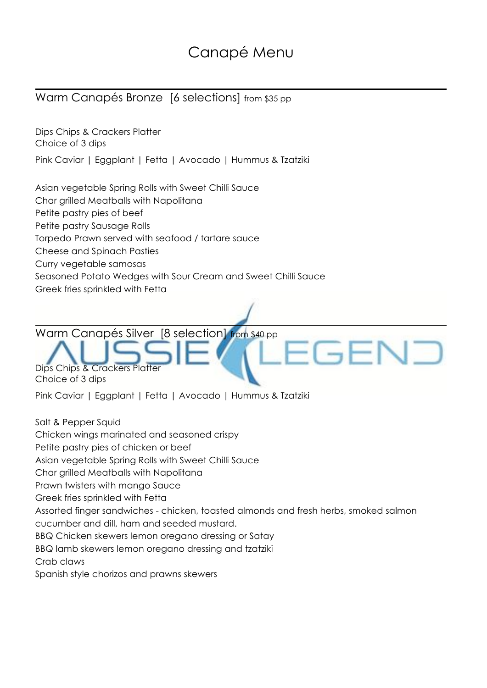# Canapé Menu

### Warm Canapés Bronze [6 selections] from \$35 pp

Dips Chips & Crackers Platter Choice of 3 dips Pink Caviar | Eggplant | Fetta | Avocado | Hummus & Tzatziki

Asian vegetable Spring Rolls with Sweet Chilli Sauce

Char grilled Meatballs with Napolitana

Petite pastry pies of beef

Petite pastry Sausage Rolls

Torpedo Prawn served with seafood / tartare sauce

Cheese and Spinach Pasties

Curry vegetable samosas

Seasoned Potato Wedges with Sour Cream and Sweet Chilli Sauce

Greek fries sprinkled with Fetta

Warm Canapés Silver [8 selection] from \$40 pp

Dips Chips & Crackers Platte Choice of 3 dips

Pink Caviar | Eggplant | Fetta | Avocado | Hummus & Tzatziki

Salt & Pepper Squid Chicken wings marinated and seasoned crispy Petite pastry pies of chicken or beef Asian vegetable Spring Rolls with Sweet Chilli Sauce Char grilled Meatballs with Napolitana Prawn twisters with mango Sauce Greek fries sprinkled with Fetta Assorted finger sandwiches - chicken, toasted almonds and fresh herbs, smoked salmon cucumber and dill, ham and seeded mustard. BBQ Chicken skewers lemon oregano dressing or Satay BBQ lamb skewers lemon oregano dressing and tzatziki Crab claws Spanish style chorizos and prawns skewers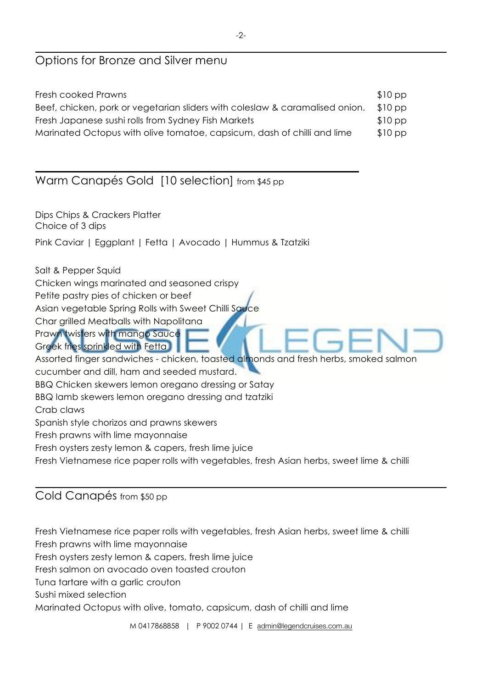#### Options for Bronze and Silver menu

| $$10\,\mathrm{pp}$ |
|--------------------|
| $$10\,\mathrm{pp}$ |
| $$10\,\mathrm{pp}$ |
| $$10$ pp           |
|                    |

#### Warm Canapés Gold [10 selection] from \$45 pp

Dips Chips & Crackers Platter Choice of 3 dips

Pink Caviar | Eggplant | Fetta | Avocado | Hummus & Tzatziki

Salt & Pepper Squid

Chicken wings marinated and seasoned crispy

Petite pastry pies of chicken or beef

Asian vegetable Spring Rolls with Sweet Chilli Sauce

Char grilled Meatballs with Napolitana

Prawn twisters with mango Sauce

Greek fries sprinkled with Fetta

Assorted finger sandwiches - chicken, toasted almonds and fresh herbs, smoked salmon

cucumber and dill, ham and seeded mustard.

BBQ Chicken skewers lemon oregano dressing or Satay

BBQ lamb skewers lemon oregano dressing and tzatziki

Crab claws

Spanish style chorizos and prawns skewers

Fresh prawns with lime mayonnaise

Fresh oysters zesty lemon & capers, fresh lime juice

Fresh Vietnamese rice paper rolls with vegetables, fresh Asian herbs, sweet lime & chilli

#### Cold Canapés from \$50 pp

Fresh Vietnamese rice paper rolls with vegetables, fresh Asian herbs, sweet lime & chilli Fresh prawns with lime mayonnaise

Fresh oysters zesty lemon & capers, fresh lime juice

Fresh salmon on avocado oven toasted crouton

Tuna tartare with a garlic crouton

Sushi mixed selection

Marinated Octopus with olive, tomato, capsicum, dash of chilli and lime